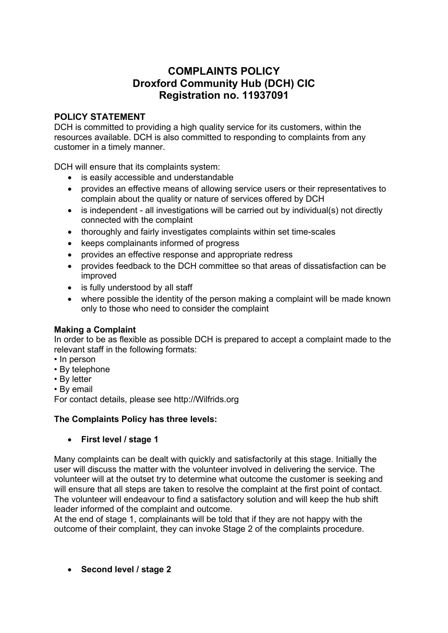# **COMPLAINTS POLICY Droxford Community Hub (DCH) CIC Registration no. 11937091**

#### **POLICY STATEMENT**

DCH is committed to providing a high quality service for its customers, within the resources available. DCH is also committed to responding to complaints from any customer in a timely manner.

DCH will ensure that its complaints system:

- is easily accessible and understandable
- provides an effective means of allowing service users or their representatives to complain about the quality or nature of services offered by DCH
- is independent all investigations will be carried out by individual(s) not directly connected with the complaint
- thoroughly and fairly investigates complaints within set time-scales
- keeps complainants informed of progress
- provides an effective response and appropriate redress
- provides feedback to the DCH committee so that areas of dissatisfaction can be improved
- is fully understood by all staff
- where possible the identity of the person making a complaint will be made known only to those who need to consider the complaint

## **Making a Complaint**

In order to be as flexible as possible DCH is prepared to accept a complaint made to the relevant staff in the following formats:

- In person
- By telephone
- By letter
- By email

For contact details, please see http://Wilfrids.org

## **The Complaints Policy has three levels:**

## • **First level / stage 1**

Many complaints can be dealt with quickly and satisfactorily at this stage. Initially the user will discuss the matter with the volunteer involved in delivering the service. The volunteer will at the outset try to determine what outcome the customer is seeking and will ensure that all steps are taken to resolve the complaint at the first point of contact. The volunteer will endeavour to find a satisfactory solution and will keep the hub shift leader informed of the complaint and outcome.

At the end of stage 1, complainants will be told that if they are not happy with the outcome of their complaint, they can invoke Stage 2 of the complaints procedure.

• **Second level / stage 2**